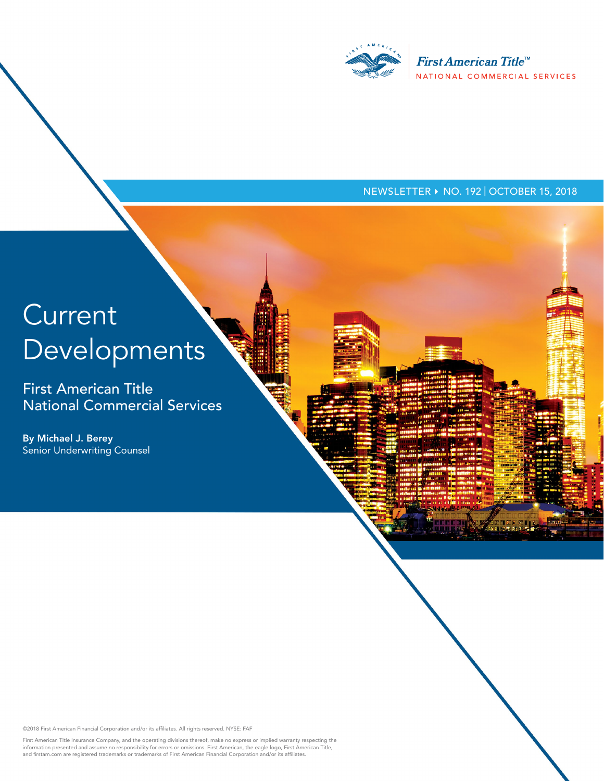

## NEWSLETTER ▶ NO. 192 | OCTOBER 15, 2018

# **Current** Developments

First American Title National Commercial Services

By Michael J. Berey Senior Underwriting Counsel

©2018 First American Financial Corporation and/or its affiliates. All rights reserved. NYSE: FAF

First American Title Insurance Company, and the operating divisions thereof, make no express or implied warranty respecting the<br>information presented and assume no responsibility for errors or omissions. First American, th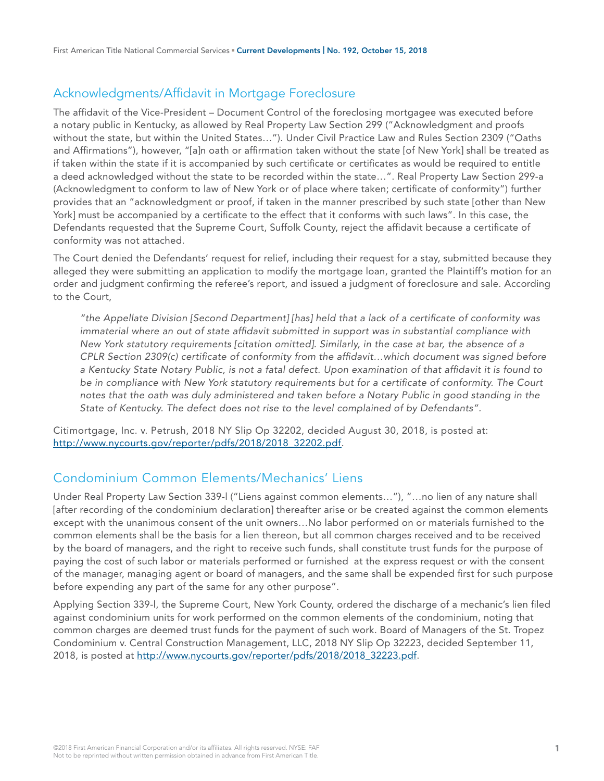## Acknowledgments/Affidavit in Mortgage Foreclosure

The affidavit of the Vice-President – Document Control of the foreclosing mortgagee was executed before a notary public in Kentucky, as allowed by Real Property Law Section 299 ("Acknowledgment and proofs without the state, but within the United States…"). Under Civil Practice Law and Rules Section 2309 ("Oaths and Affirmations"), however, "[a]n oath or affirmation taken without the state [of New York] shall be treated as if taken within the state if it is accompanied by such certificate or certificates as would be required to entitle a deed acknowledged without the state to be recorded within the state…". Real Property Law Section 299-a (Acknowledgment to conform to law of New York or of place where taken; certificate of conformity") further provides that an "acknowledgment or proof, if taken in the manner prescribed by such state [other than New York] must be accompanied by a certificate to the effect that it conforms with such laws". In this case, the Defendants requested that the Supreme Court, Suffolk County, reject the affidavit because a certificate of conformity was not attached.

The Court denied the Defendants' request for relief, including their request for a stay, submitted because they alleged they were submitting an application to modify the mortgage loan, granted the Plaintiff's motion for an order and judgment confirming the referee's report, and issued a judgment of foreclosure and sale. According to the Court,

*"the Appellate Division [Second Department] [has] held that a lack of a certificate of conformity was immaterial where an out of state affidavit submitted in support was in substantial compliance with New York statutory requirements [citation omitted]. Similarly, in the case at bar, the absence of a CPLR Section 2309(c) certificate of conformity from the affidavit…which document was signed before a Kentucky State Notary Public, is not a fatal defect. Upon examination of that affidavit it is found to be in compliance with New York statutory requirements but for a certificate of conformity. The Court notes that the oath was duly administered and taken before a Notary Public in good standing in the State of Kentucky. The defect does not rise to the level complained of by Defendants".*

Citimortgage, Inc. v. Petrush, 2018 NY Slip Op 32202, decided August 30, 2018, is posted at: [http://www.nycourts.gov/reporter/pdfs/2018/2018\\_32202.pdf](http://www.nycourts.gov/reporter/pdfs/2018/2018_32202.pdf).

## Condominium Common Elements/Mechanics' Liens

Under Real Property Law Section 339-l ("Liens against common elements…"), "…no lien of any nature shall [after recording of the condominium declaration] thereafter arise or be created against the common elements except with the unanimous consent of the unit owners…No labor performed on or materials furnished to the common elements shall be the basis for a lien thereon, but all common charges received and to be received by the board of managers, and the right to receive such funds, shall constitute trust funds for the purpose of paying the cost of such labor or materials performed or furnished at the express request or with the consent of the manager, managing agent or board of managers, and the same shall be expended first for such purpose before expending any part of the same for any other purpose".

Applying Section 339-l, the Supreme Court, New York County, ordered the discharge of a mechanic's lien filed against condominium units for work performed on the common elements of the condominium, noting that common charges are deemed trust funds for the payment of such work. Board of Managers of the St. Tropez Condominium v. Central Construction Management, LLC, 2018 NY Slip Op 32223, decided September 11, 2018, is posted at [http://www.nycourts.gov/reporter/pdfs/2018/2018\\_32223.pdf.](http://www.nycourts.gov/reporter/pdfs/2018/2018_32223.pdf)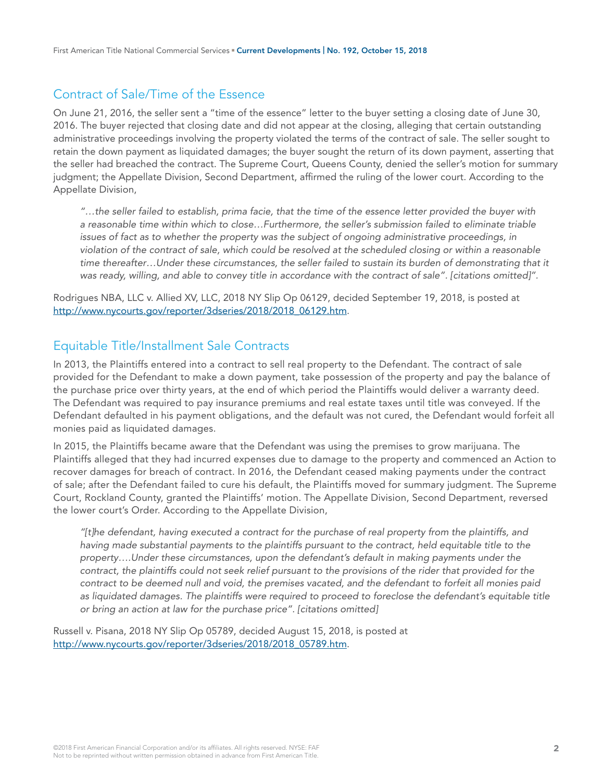## Contract of Sale/Time of the Essence

On June 21, 2016, the seller sent a "time of the essence" letter to the buyer setting a closing date of June 30, 2016. The buyer rejected that closing date and did not appear at the closing, alleging that certain outstanding administrative proceedings involving the property violated the terms of the contract of sale. The seller sought to retain the down payment as liquidated damages; the buyer sought the return of its down payment, asserting that the seller had breached the contract. The Supreme Court, Queens County, denied the seller's motion for summary judgment; the Appellate Division, Second Department, affirmed the ruling of the lower court. According to the Appellate Division,

*"…the seller failed to establish, prima facie, that the time of the essence letter provided the buyer with a reasonable time within which to close…Furthermore, the seller's submission failed to eliminate triable issues of fact as to whether the property was the subject of ongoing administrative proceedings, in violation of the contract of sale, which could be resolved at the scheduled closing or within a reasonable time thereafter…Under these circumstances, the seller failed to sustain its burden of demonstrating that it was ready, willing, and able to convey title in accordance with the contract of sale". [citations omitted]".*

Rodrigues NBA, LLC v. Allied XV, LLC, 2018 NY Slip Op 06129, decided September 19, 2018, is posted at [http://www.nycourts.gov/reporter/3dseries/2018/2018\\_06129.htm.](http://www.nycourts.gov/reporter/3dseries/2018/2018_06129.htm)

## Equitable Title/Installment Sale Contracts

In 2013, the Plaintiffs entered into a contract to sell real property to the Defendant. The contract of sale provided for the Defendant to make a down payment, take possession of the property and pay the balance of the purchase price over thirty years, at the end of which period the Plaintiffs would deliver a warranty deed. The Defendant was required to pay insurance premiums and real estate taxes until title was conveyed. If the Defendant defaulted in his payment obligations, and the default was not cured, the Defendant would forfeit all monies paid as liquidated damages.

In 2015, the Plaintiffs became aware that the Defendant was using the premises to grow marijuana. The Plaintiffs alleged that they had incurred expenses due to damage to the property and commenced an Action to recover damages for breach of contract. In 2016, the Defendant ceased making payments under the contract of sale; after the Defendant failed to cure his default, the Plaintiffs moved for summary judgment. The Supreme Court, Rockland County, granted the Plaintiffs' motion. The Appellate Division, Second Department, reversed the lower court's Order. According to the Appellate Division,

*"[t]he defendant, having executed a contract for the purchase of real property from the plaintiffs, and*  having made substantial payments to the plaintiffs pursuant to the contract, held equitable title to the *property….Under these circumstances, upon the defendant's default in making payments under the*  contract, the plaintiffs could not seek relief pursuant to the provisions of the rider that provided for the *contract to be deemed null and void, the premises vacated, and the defendant to forfeit all monies paid*  as liquidated damages. The plaintiffs were required to proceed to foreclose the defendant's equitable title *or bring an action at law for the purchase price". [citations omitted]*

Russell v. Pisana, 2018 NY Slip Op 05789, decided August 15, 2018, is posted at [http://www.nycourts.gov/reporter/3dseries/2018/2018\\_05789.htm.](http://www.nycourts.gov/reporter/3dseries/2018/2018_05789.htm)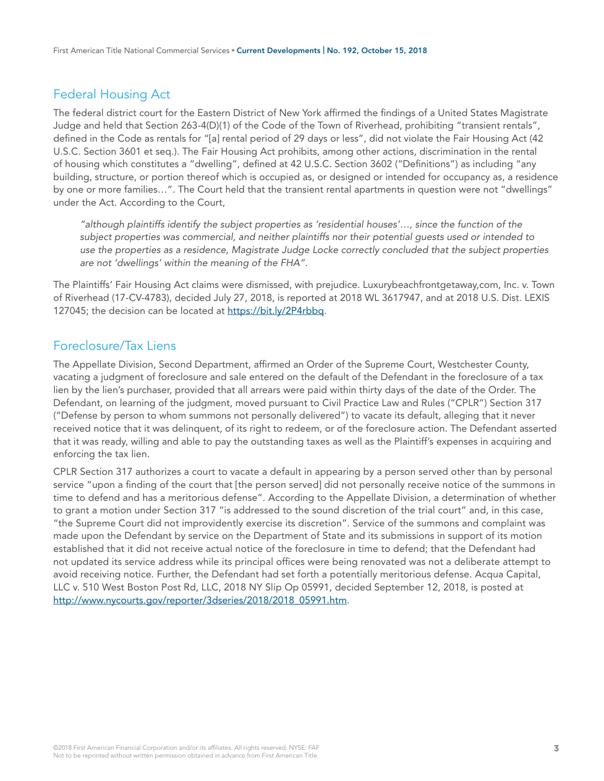# Federal Housing Act

The federal district court for the Eastern District of New York affirmed the findings of a United States Magistrate Judge and held that Section 263-4(D)(1) of the Code of the Town of Riverhead, prohibiting "transient rentals", defined in the Code as rentals for "[a] rental period of 29 days or less", did not violate the Fair Housing Act (42 U.S.C. Section 3601 et seq.). The Fair Housing Act prohibits, among other actions, discrimination in the rental of housing which constitutes a "dwelling", defined at 42 U.S.C. Section 3602 ("Definitions") as including "any building, structure, or portion thereof which is occupied as, or designed or intended for occupancy as, a residence by one or more families…". The Court held that the transient rental apartments in question were not "dwellings" under the Act. According to the Court,

*"although plaintiffs identify the subject properties as 'residential houses'…, since the function of the subject properties was commercial, and neither plaintiffs nor their potential guests used or intended to use the properties as a residence, Magistrate Judge Locke correctly concluded that the subject properties are not 'dwellings' within the meaning of the FHA".* 

The Plaintiffs' Fair Housing Act claims were dismissed, with prejudice. Luxurybeachfrontgetaway,com, Inc. v. Town of Riverhead (17-CV-4783), decided July 27, 2018, is reported at 2018 WL 3617947, and at 2018 U.S. Dist. LEXIS 127045; the decision can be located at [https://bit.ly/2P4rbbq.](https://bit.ly/2P4rbbq)

## Foreclosure/Tax Liens

The Appellate Division, Second Department, affirmed an Order of the Supreme Court, Westchester County, vacating a judgment of foreclosure and sale entered on the default of the Defendant in the foreclosure of a tax lien by the lien's purchaser, provided that all arrears were paid within thirty days of the date of the Order. The Defendant, on learning of the judgment, moved pursuant to Civil Practice Law and Rules ("CPLR") Section 317 ("Defense by person to whom summons not personally delivered") to vacate its default, alleging that it never received notice that it was delinquent, of its right to redeem, or of the foreclosure action. The Defendant asserted that it was ready, willing and able to pay the outstanding taxes as well as the Plaintiff's expenses in acquiring and enforcing the tax lien.

CPLR Section 317 authorizes a court to vacate a default in appearing by a person served other than by personal service "upon a finding of the court that [the person served] did not personally receive notice of the summons in time to defend and has a meritorious defense". According to the Appellate Division, a determination of whether to grant a motion under Section 317 "is addressed to the sound discretion of the trial court" and, in this case, "the Supreme Court did not improvidently exercise its discretion". Service of the summons and complaint was made upon the Defendant by service on the Department of State and its submissions in support of its motion established that it did not receive actual notice of the foreclosure in time to defend; that the Defendant had not updated its service address while its principal offices were being renovated was not a deliberate attempt to avoid receiving notice. Further, the Defendant had set forth a potentially meritorious defense. Acqua Capital, LLC v. 510 West Boston Post Rd, LLC, 2018 NY Slip Op 05991, decided September 12, 2018, is posted at [http://www.nycourts.gov/reporter/3dseries/2018/2018\\_05991.htm.](http://www.nycourts.gov/reporter/3dseries/2018/2018_05991.htm)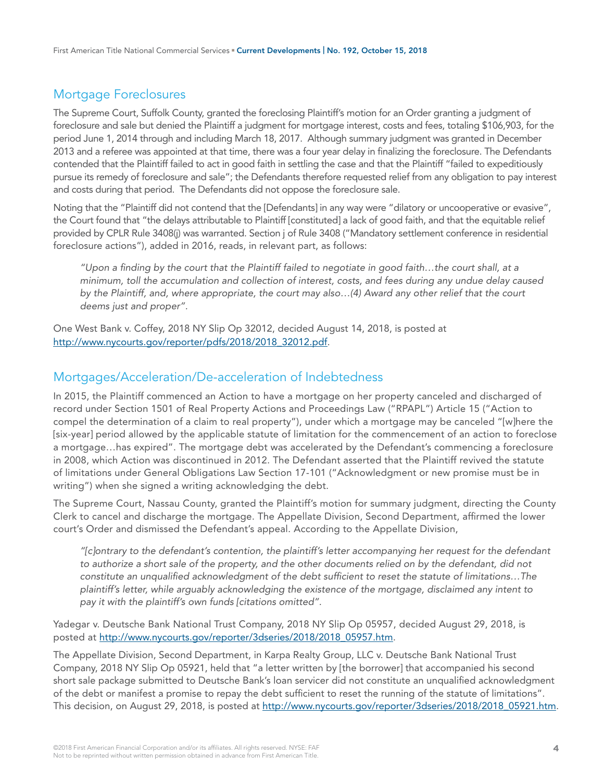# Mortgage Foreclosures

The Supreme Court, Suffolk County, granted the foreclosing Plaintiff's motion for an Order granting a judgment of foreclosure and sale but denied the Plaintiff a judgment for mortgage interest, costs and fees, totaling \$106,903, for the period June 1, 2014 through and including March 18, 2017. Although summary judgment was granted in December 2013 and a referee was appointed at that time, there was a four year delay in finalizing the foreclosure. The Defendants contended that the Plaintiff failed to act in good faith in settling the case and that the Plaintiff "failed to expeditiously pursue its remedy of foreclosure and sale"; the Defendants therefore requested relief from any obligation to pay interest and costs during that period. The Defendants did not oppose the foreclosure sale.

Noting that the "Plaintiff did not contend that the [Defendants] in any way were "dilatory or uncooperative or evasive", the Court found that "the delays attributable to Plaintiff [constituted] a lack of good faith, and that the equitable relief provided by CPLR Rule 3408(j) was warranted. Section j of Rule 3408 ("Mandatory settlement conference in residential foreclosure actions"), added in 2016, reads, in relevant part, as follows:

*"Upon a finding by the court that the Plaintiff failed to negotiate in good faith…the court shall, at a minimum, toll the accumulation and collection of interest, costs, and fees during any undue delay caused by the Plaintiff, and, where appropriate, the court may also…(4) Award any other relief that the court deems just and proper".* 

One West Bank v. Coffey, 2018 NY Slip Op 32012, decided August 14, 2018, is posted at [http://www.nycourts.gov/reporter/pdfs/2018/2018\\_32012.pdf.](http://www.nycourts.gov/reporter/pdfs/2018/2018_32012.pdf)

#### Mortgages/Acceleration/De-acceleration of Indebtedness

In 2015, the Plaintiff commenced an Action to have a mortgage on her property canceled and discharged of record under Section 1501 of Real Property Actions and Proceedings Law ("RPAPL") Article 15 ("Action to compel the determination of a claim to real property"), under which a mortgage may be canceled "[w]here the [six-year] period allowed by the applicable statute of limitation for the commencement of an action to foreclose a mortgage…has expired". The mortgage debt was accelerated by the Defendant's commencing a foreclosure in 2008, which Action was discontinued in 2012. The Defendant asserted that the Plaintiff revived the statute of limitations under General Obligations Law Section 17-101 ("Acknowledgment or new promise must be in writing") when she signed a writing acknowledging the debt.

The Supreme Court, Nassau County, granted the Plaintiff's motion for summary judgment, directing the County Clerk to cancel and discharge the mortgage. The Appellate Division, Second Department, affirmed the lower court's Order and dismissed the Defendant's appeal. According to the Appellate Division,

*"[c]ontrary to the defendant's contention, the plaintiff's letter accompanying her request for the defendant*  to authorize a short sale of the property, and the other documents relied on by the defendant, did not *constitute an unqualified acknowledgment of the debt sufficient to reset the statute of limitations…The plaintiff's letter, while arguably acknowledging the existence of the mortgage, disclaimed any intent to pay it with the plaintiff's own funds [citations omitted".* 

Yadegar v. Deutsche Bank National Trust Company, 2018 NY Slip Op 05957, decided August 29, 2018, is posted at [http://www.nycourts.gov/reporter/3dseries/2018/2018\\_05957.htm.](http://www.nycourts.gov/reporter/3dseries/2018/2018_05957.htm)

The Appellate Division, Second Department, in Karpa Realty Group, LLC v. Deutsche Bank National Trust Company, 2018 NY Slip Op 05921, held that "a letter written by [the borrower] that accompanied his second short sale package submitted to Deutsche Bank's loan servicer did not constitute an unqualified acknowledgment of the debt or manifest a promise to repay the debt sufficient to reset the running of the statute of limitations". This decision, on August 29, 2018, is posted at [http://www.nycourts.gov/reporter/3dseries/2018/2018\\_05921.htm.](http://www.nycourts.gov/reporter/3dseries/2018/2018_05921.htm)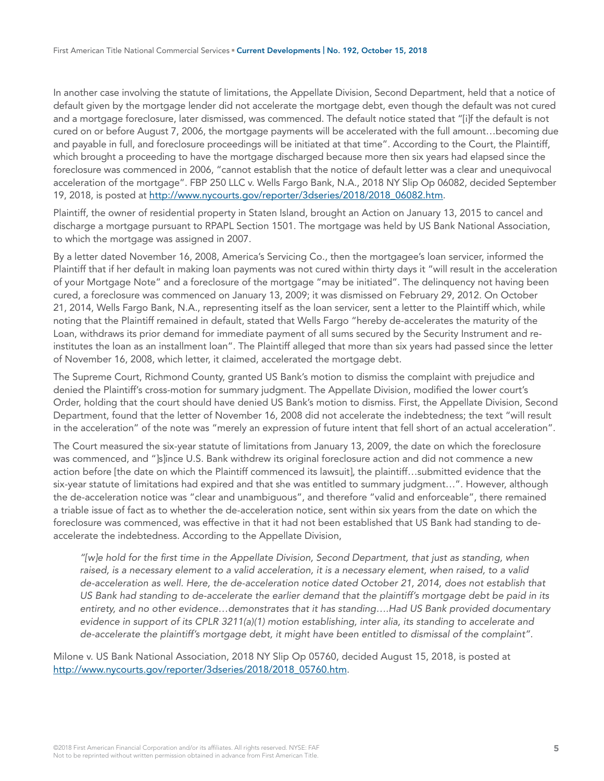In another case involving the statute of limitations, the Appellate Division, Second Department, held that a notice of default given by the mortgage lender did not accelerate the mortgage debt, even though the default was not cured and a mortgage foreclosure, later dismissed, was commenced. The default notice stated that "[i]f the default is not cured on or before August 7, 2006, the mortgage payments will be accelerated with the full amount…becoming due and payable in full, and foreclosure proceedings will be initiated at that time". According to the Court, the Plaintiff, which brought a proceeding to have the mortgage discharged because more then six years had elapsed since the foreclosure was commenced in 2006, "cannot establish that the notice of default letter was a clear and unequivocal acceleration of the mortgage". FBP 250 LLC v. Wells Fargo Bank, N.A., 2018 NY Slip Op 06082, decided September 19, 2018, is posted at [http://www.nycourts.gov/reporter/3dseries/2018/2018\\_06082.htm](http://www.nycourts.gov/reporter/3dseries/2018/2018_06082.htm).

Plaintiff, the owner of residential property in Staten Island, brought an Action on January 13, 2015 to cancel and discharge a mortgage pursuant to RPAPL Section 1501. The mortgage was held by US Bank National Association, to which the mortgage was assigned in 2007.

By a letter dated November 16, 2008, America's Servicing Co., then the mortgagee's loan servicer, informed the Plaintiff that if her default in making loan payments was not cured within thirty days it "will result in the acceleration of your Mortgage Note" and a foreclosure of the mortgage "may be initiated". The delinquency not having been cured, a foreclosure was commenced on January 13, 2009; it was dismissed on February 29, 2012. On October 21, 2014, Wells Fargo Bank, N.A., representing itself as the loan servicer, sent a letter to the Plaintiff which, while noting that the Plaintiff remained in default, stated that Wells Fargo "hereby de-accelerates the maturity of the Loan, withdraws its prior demand for immediate payment of all sums secured by the Security Instrument and reinstitutes the loan as an installment loan". The Plaintiff alleged that more than six years had passed since the letter of November 16, 2008, which letter, it claimed, accelerated the mortgage debt.

The Supreme Court, Richmond County, granted US Bank's motion to dismiss the complaint with prejudice and denied the Plaintiff's cross-motion for summary judgment. The Appellate Division, modified the lower court's Order, holding that the court should have denied US Bank's motion to dismiss. First, the Appellate Division, Second Department, found that the letter of November 16, 2008 did not accelerate the indebtedness; the text "will result in the acceleration" of the note was "merely an expression of future intent that fell short of an actual acceleration".

The Court measured the six-year statute of limitations from January 13, 2009, the date on which the foreclosure was commenced, and "]s]ince U.S. Bank withdrew its original foreclosure action and did not commence a new action before [the date on which the Plaintiff commenced its lawsuit], the plaintiff…submitted evidence that the six-year statute of limitations had expired and that she was entitled to summary judgment…". However, although the de-acceleration notice was "clear and unambiguous", and therefore "valid and enforceable", there remained a triable issue of fact as to whether the de-acceleration notice, sent within six years from the date on which the foreclosure was commenced, was effective in that it had not been established that US Bank had standing to deaccelerate the indebtedness. According to the Appellate Division,

*"[w]e hold for the first time in the Appellate Division, Second Department, that just as standing, when raised, is a necessary element to a valid acceleration, it is a necessary element, when raised, to a valid de-acceleration as well. Here, the de-acceleration notice dated October 21, 2014, does not establish that US Bank had standing to de-accelerate the earlier demand that the plaintiff's mortgage debt be paid in its entirety, and no other evidence…demonstrates that it has standing….Had US Bank provided documentary evidence in support of its CPLR 3211(a)(1) motion establishing, inter alia, its standing to accelerate and de-accelerate the plaintiff's mortgage debt, it might have been entitled to dismissal of the complaint".* 

Milone v. US Bank National Association, 2018 NY Slip Op 05760, decided August 15, 2018, is posted at [http://www.nycourts.gov/reporter/3dseries/2018/2018\\_05760.htm.](http://www.nycourts.gov/reporter/3dseries/2018/2018_05760.htm)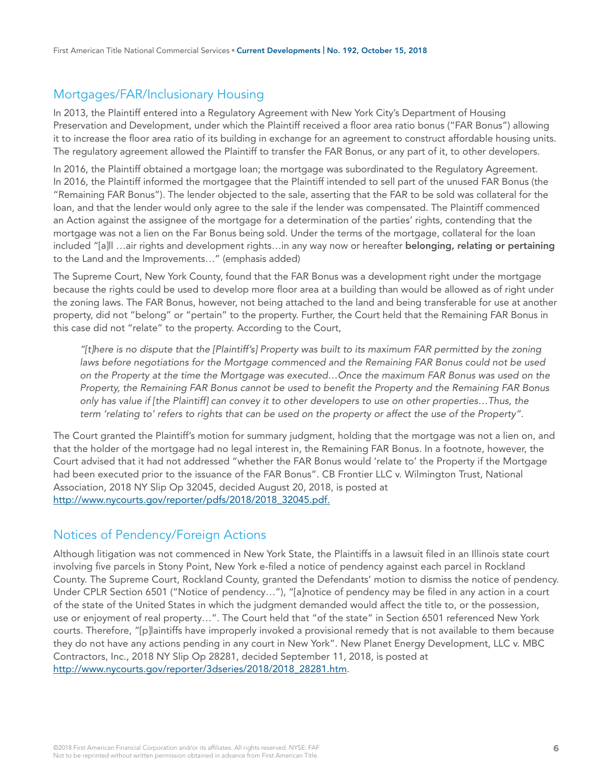## Mortgages/FAR/Inclusionary Housing

In 2013, the Plaintiff entered into a Regulatory Agreement with New York City's Department of Housing Preservation and Development, under which the Plaintiff received a floor area ratio bonus ("FAR Bonus") allowing it to increase the floor area ratio of its building in exchange for an agreement to construct affordable housing units. The regulatory agreement allowed the Plaintiff to transfer the FAR Bonus, or any part of it, to other developers.

In 2016, the Plaintiff obtained a mortgage loan; the mortgage was subordinated to the Regulatory Agreement. In 2016, the Plaintiff informed the mortgagee that the Plaintiff intended to sell part of the unused FAR Bonus (the "Remaining FAR Bonus"). The lender objected to the sale, asserting that the FAR to be sold was collateral for the loan, and that the lender would only agree to the sale if the lender was compensated. The Plaintiff commenced an Action against the assignee of the mortgage for a determination of the parties' rights, contending that the mortgage was not a lien on the Far Bonus being sold. Under the terms of the mortgage, collateral for the loan included "[a]ll …air rights and development rights…in any way now or hereafter **belonging, relating or pertaining** to the Land and the Improvements…" (emphasis added)

The Supreme Court, New York County, found that the FAR Bonus was a development right under the mortgage because the rights could be used to develop more floor area at a building than would be allowed as of right under the zoning laws. The FAR Bonus, however, not being attached to the land and being transferable for use at another property, did not "belong" or "pertain" to the property. Further, the Court held that the Remaining FAR Bonus in this case did not "relate" to the property. According to the Court,

*"[t]here is no dispute that the [Plaintiff's] Property was built to its maximum FAR permitted by the zoning*  laws before negotiations for the Mortgage commenced and the Remaining FAR Bonus could not be used *on the Property at the time the Mortgage was executed…Once the maximum FAR Bonus was used on the Property, the Remaining FAR Bonus cannot be used to benefit the Property and the Remaining FAR Bonus only has value if [the Plaintiff] can convey it to other developers to use on other properties…Thus, the term 'relating to' refers to rights that can be used on the property or affect the use of the Property".* 

The Court granted the Plaintiff's motion for summary judgment, holding that the mortgage was not a lien on, and that the holder of the mortgage had no legal interest in, the Remaining FAR Bonus. In a footnote, however, the Court advised that it had not addressed "whether the FAR Bonus would 'relate to' the Property if the Mortgage had been executed prior to the issuance of the FAR Bonus". CB Frontier LLC v. Wilmington Trust, National Association, 2018 NY Slip Op 32045, decided August 20, 2018, is posted at [http://www.nycourts.gov/reporter/pdfs/2018/2018\\_32045.pdf.](http://www.nycourts.gov/reporter/pdfs/2018/2018_32045.pdf.)

## Notices of Pendency/Foreign Actions

Although litigation was not commenced in New York State, the Plaintiffs in a lawsuit filed in an Illinois state court involving five parcels in Stony Point, New York e-filed a notice of pendency against each parcel in Rockland County. The Supreme Court, Rockland County, granted the Defendants' motion to dismiss the notice of pendency. Under CPLR Section 6501 ("Notice of pendency…"), "[a]notice of pendency may be filed in any action in a court of the state of the United States in which the judgment demanded would affect the title to, or the possession, use or enjoyment of real property…". The Court held that "of the state" in Section 6501 referenced New York courts. Therefore, "[p]laintiffs have improperly invoked a provisional remedy that is not available to them because they do not have any actions pending in any court in New York". New Planet Energy Development, LLC v. MBC Contractors, Inc., 2018 NY Slip Op 28281, decided September 11, 2018, is posted at [http://www.nycourts.gov/reporter/3dseries/2018/2018\\_28281.htm.](http://www.nycourts.gov/reporter/3dseries/2018/2018_28281.htm)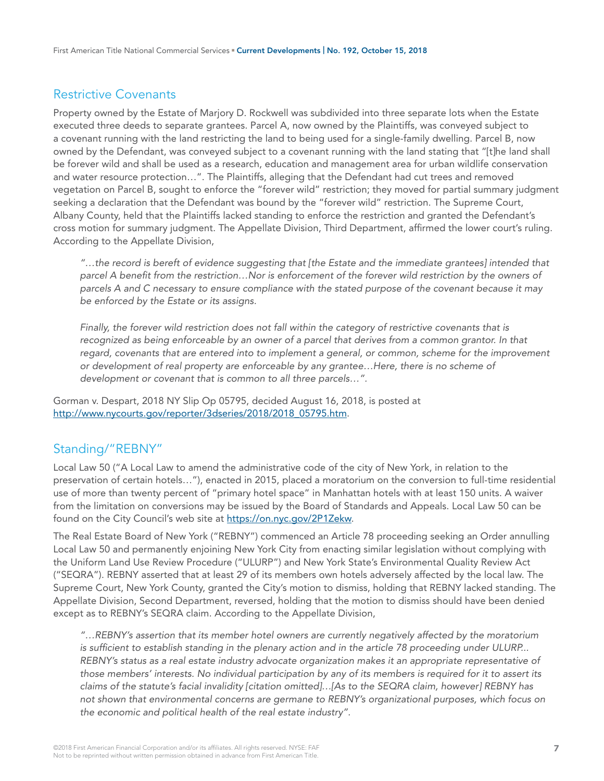## Restrictive Covenants

Property owned by the Estate of Marjory D. Rockwell was subdivided into three separate lots when the Estate executed three deeds to separate grantees. Parcel A, now owned by the Plaintiffs, was conveyed subject to a covenant running with the land restricting the land to being used for a single-family dwelling. Parcel B, now owned by the Defendant, was conveyed subject to a covenant running with the land stating that "[t]he land shall be forever wild and shall be used as a research, education and management area for urban wildlife conservation and water resource protection…". The Plaintiffs, alleging that the Defendant had cut trees and removed vegetation on Parcel B, sought to enforce the "forever wild" restriction; they moved for partial summary judgment seeking a declaration that the Defendant was bound by the "forever wild" restriction. The Supreme Court, Albany County, held that the Plaintiffs lacked standing to enforce the restriction and granted the Defendant's cross motion for summary judgment. The Appellate Division, Third Department, affirmed the lower court's ruling. According to the Appellate Division,

*"…the record is bereft of evidence suggesting that [the Estate and the immediate grantees] intended that parcel A benefit from the restriction…Nor is enforcement of the forever wild restriction by the owners of parcels A and C necessary to ensure compliance with the stated purpose of the covenant because it may be enforced by the Estate or its assigns.* 

Finally, the forever wild restriction does not fall within the category of restrictive covenants that is recognized as being enforceable by an owner of a parcel that derives from a common grantor. In that *regard, covenants that are entered into to implement a general, or common, scheme for the improvement or development of real property are enforceable by any grantee…Here, there is no scheme of development or covenant that is common to all three parcels…".*

Gorman v. Despart, 2018 NY Slip Op 05795, decided August 16, 2018, is posted at [http://www.nycourts.gov/reporter/3dseries/2018/2018\\_05795.htm.](http://www.nycourts.gov/reporter/3dseries/2018/2018_05795.htm)

#### Standing/"REBNY"

Local Law 50 ("A Local Law to amend the administrative code of the city of New York, in relation to the preservation of certain hotels…"), enacted in 2015, placed a moratorium on the conversion to full-time residential use of more than twenty percent of "primary hotel space" in Manhattan hotels with at least 150 units. A waiver from the limitation on conversions may be issued by the Board of Standards and Appeals. Local Law 50 can be found on the City Council's web site at<https://on.nyc.gov/2P1Zekw>.

The Real Estate Board of New York ("REBNY") commenced an Article 78 proceeding seeking an Order annulling Local Law 50 and permanently enjoining New York City from enacting similar legislation without complying with the Uniform Land Use Review Procedure ("ULURP") and New York State's Environmental Quality Review Act ("SEQRA"). REBNY asserted that at least 29 of its members own hotels adversely affected by the local law. The Supreme Court, New York County, granted the City's motion to dismiss, holding that REBNY lacked standing. The Appellate Division, Second Department, reversed, holding that the motion to dismiss should have been denied except as to REBNY's SEQRA claim. According to the Appellate Division,

*"…REBNY's assertion that its member hotel owners are currently negatively affected by the moratorium is sufficient to establish standing in the plenary action and in the article 78 proceeding under ULURP... REBNY's status as a real estate industry advocate organization makes it an appropriate representative of those members' interests. No individual participation by any of its members is required for it to assert its claims of the statute's facial invalidity [citation omitted]…[As to the SEQRA claim, however] REBNY has not shown that environmental concerns are germane to REBNY's organizational purposes, which focus on the economic and political health of the real estate industry".*